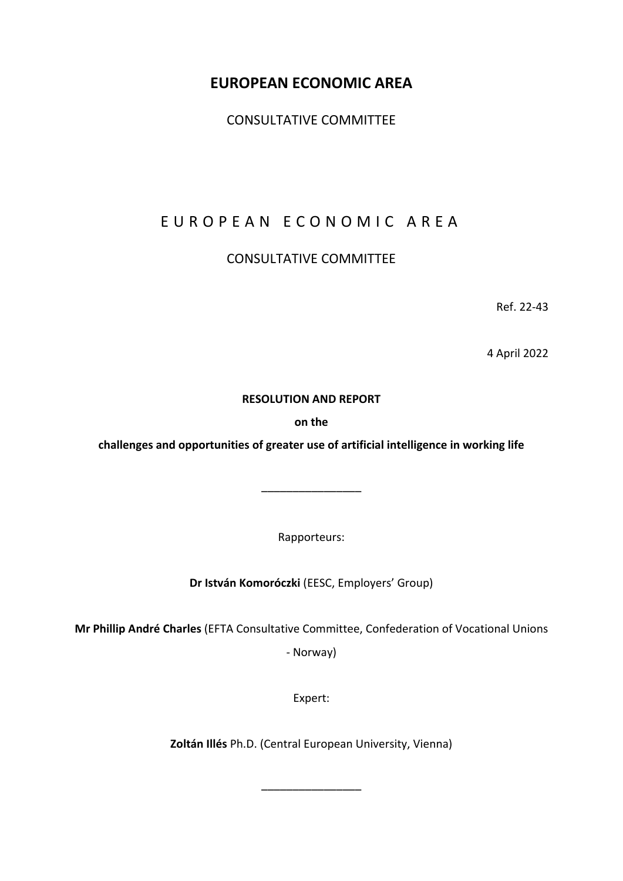# **EUROPEAN ECONOMIC AREA**

CONSULTATIVE COMMITTEE

# EUROPEAN ECONOMIC AREA

# CONSULTATIVE COMMITTEE

Ref. 22-43

4 April 2022

## **RESOLUTION AND REPORT**

**on the**

**challenges and opportunities of greater use of artificial intelligence in working life**

Rapporteurs:

––––––––––––––––

**Dr István Komoróczki** (EESC, Employers' Group)

**Mr Phillip André Charles** (EFTA Consultative Committee, Confederation of Vocational Unions

- Norway)

Expert:

**Zoltán Illés** Ph.D. (Central European University, Vienna)

––––––––––––––––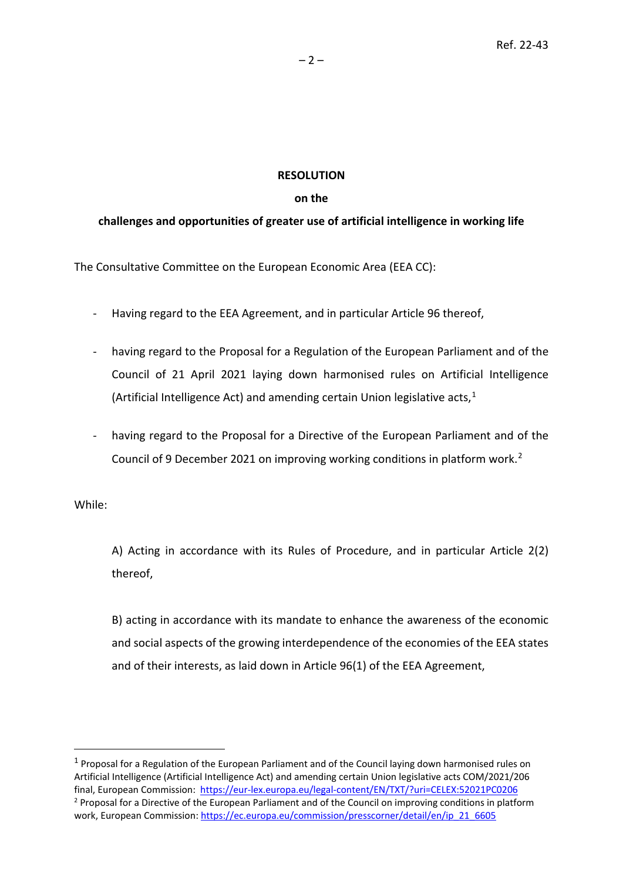### **RESOLUTION**

### **on the**

# **challenges and opportunities of greater use of artificial intelligence in working life**

The Consultative Committee on the European Economic Area (EEA CC):

- Having regard to the EEA Agreement, and in particular Article 96 thereof,
- having regard to the Proposal for a Regulation of the European Parliament and of the Council of 21 April 2021 laying down harmonised rules on Artificial Intelligence (Artificial Intelligence Act) and amending certain Union legislative acts, [1](#page-1-0)
- having regard to the Proposal for a Directive of the European Parliament and of the Council of 9 December 2021 on improving working conditions in platform work. [2](#page-1-1)

While:

A) Acting in accordance with its Rules of Procedure, and in particular Article 2(2) thereof,

B) acting in accordance with its mandate to enhance the awareness of the economic and social aspects of the growing interdependence of the economies of the EEA states and of their interests, as laid down in Article 96(1) of the EEA Agreement,

<span id="page-1-1"></span><span id="page-1-0"></span> $1$  Proposal for a Regulation of the European Parliament and of the Council laying down harmonised rules on Artificial Intelligence (Artificial Intelligence Act) and amending certain Union legislative acts COM/2021/206 final, European Commission:<https://eur-lex.europa.eu/legal-content/EN/TXT/?uri=CELEX:52021PC0206> <sup>2</sup> Proposal for a Directive of the European Parliament and of the Council on improving conditions in platform work, European Commission: [https://ec.europa.eu/commission/presscorner/detail/en/ip\\_21\\_6605](https://ec.europa.eu/commission/presscorner/detail/en/ip_21_6605)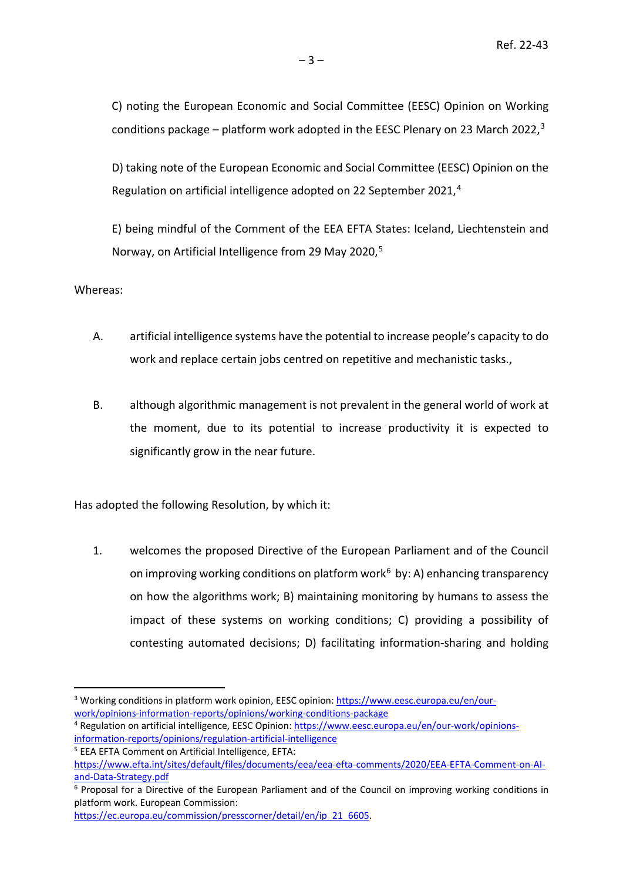C) noting the European Economic and Social Committee (EESC) Opinion on Working conditions package – platform work adopted in the EESC Plenary on 2[3](#page-2-0) March 2022, $3$ 

D) taking note of the European Economic and Social Committee (EESC) Opinion on the Regulation on artificial intelligence adopted on 22 September 2021,<sup>[4](#page-2-1)</sup>

E) being mindful of the Comment of the EEA EFTA States: Iceland, Liechtenstein and Norway, on Artificial Intelligence from 29 May 2020.<sup>[5](#page-2-2)</sup>

Whereas:

- A. artificial intelligence systems have the potential to increase people's capacity to do work and replace certain jobs centred on repetitive and mechanistic tasks.,
- B. although algorithmic management is not prevalent in the general world of work at the moment, due to its potential to increase productivity it is expected to significantly grow in the near future.

Has adopted the following Resolution, by which it:

1. welcomes the proposed Directive of the European Parliament and of the Council on improving working conditions on platform work<sup>[6](#page-2-3)</sup> by: A) enhancing transparency on how the algorithms work; B) maintaining monitoring by humans to assess the impact of these systems on working conditions; C) providing a possibility of contesting automated decisions; D) facilitating information-sharing and holding

<span id="page-2-2"></span><sup>5</sup> EEA EFTA Comment on Artificial Intelligence, EFTA:

<span id="page-2-0"></span><sup>3</sup> Working conditions in platform work opinion, EESC opinion[: https://www.eesc.europa.eu/en/our](https://www.eesc.europa.eu/en/our-work/opinions-information-reports/opinions/working-conditions-package)[work/opinions-information-reports/opinions/working-conditions-package](https://www.eesc.europa.eu/en/our-work/opinions-information-reports/opinions/working-conditions-package)

<span id="page-2-1"></span><sup>4</sup> Regulation on artificial intelligence, EESC Opinion: [https://www.eesc.europa.eu/en/our-work/opinions](https://www.eesc.europa.eu/en/our-work/opinions-information-reports/opinions/regulation-artificial-intelligence)[information-reports/opinions/regulation-artificial-intelligence](https://www.eesc.europa.eu/en/our-work/opinions-information-reports/opinions/regulation-artificial-intelligence)

[https://www.efta.int/sites/default/files/documents/eea/eea-efta-comments/2020/EEA-EFTA-Comment-on-AI](https://www.efta.int/sites/default/files/documents/eea/eea-efta-comments/2020/EEA-EFTA-Comment-on-AI-and-Data-Strategy.pdf)[and-Data-Strategy.pdf](https://www.efta.int/sites/default/files/documents/eea/eea-efta-comments/2020/EEA-EFTA-Comment-on-AI-and-Data-Strategy.pdf)

<span id="page-2-3"></span><sup>&</sup>lt;sup>6</sup> Proposal for a Directive of the European Parliament and of the Council on improving working conditions in platform work. European Commission:

[https://ec.europa.eu/commission/presscorner/detail/en/ip\\_21\\_6605.](https://ec.europa.eu/commission/presscorner/detail/en/ip_21_6605)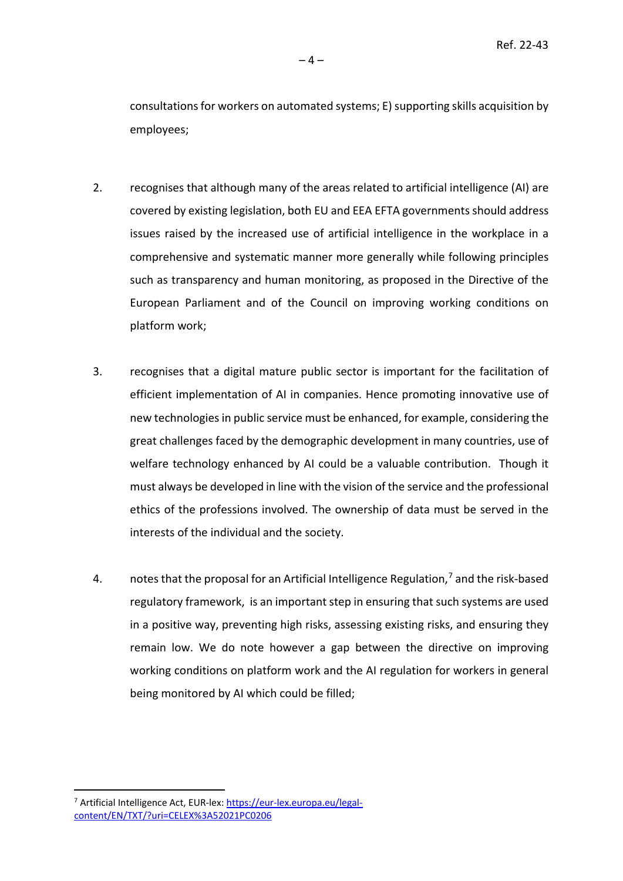consultations for workers on automated systems; E) supporting skills acquisition by employees;

- 2. recognises that although many of the areas related to artificial intelligence (AI) are covered by existing legislation, both EU and EEA EFTA governments should address issues raised by the increased use of artificial intelligence in the workplace in a comprehensive and systematic manner more generally while following principles such as transparency and human monitoring, as proposed in the Directive of the European Parliament and of the Council on improving working conditions on platform work;
- 3. recognises that a digital mature public sector is important for the facilitation of efficient implementation of AI in companies. Hence promoting innovative use of new technologies in public service must be enhanced, for example, considering the great challenges faced by the demographic development in many countries, use of welfare technology enhanced by AI could be a valuable contribution. Though it must always be developed in line with the vision of the service and the professional ethics of the professions involved. The ownership of data must be served in the interests of the individual and the society.
- 4. notes that the proposal for an Artificial Intelligence Regulation, $7$  and the risk-based regulatory framework, is an important step in ensuring that such systems are used in a positive way, preventing high risks, assessing existing risks, and ensuring they remain low. We do note however a gap between the directive on improving working conditions on platform work and the AI regulation for workers in general being monitored by AI which could be filled;

<span id="page-3-0"></span><sup>7</sup> Artificial Intelligence Act, EUR-lex[: https://eur-lex.europa.eu/legal](https://eur-lex.europa.eu/legal-content/EN/TXT/?uri=CELEX%3A52021PC0206)[content/EN/TXT/?uri=CELEX%3A52021PC0206](https://eur-lex.europa.eu/legal-content/EN/TXT/?uri=CELEX%3A52021PC0206)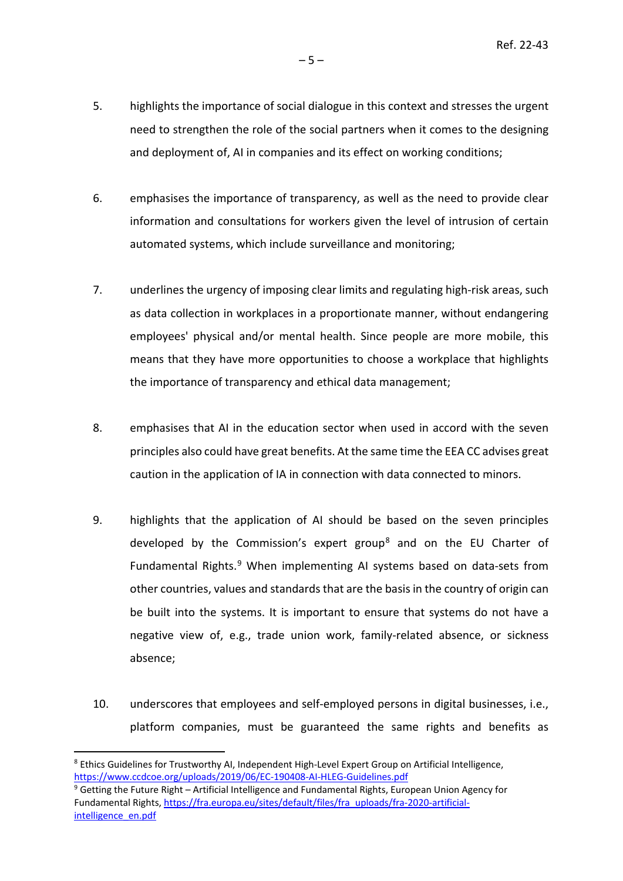- 5. highlights the importance of social dialogue in this context and stresses the urgent need to strengthen the role of the social partners when it comes to the designing and deployment of, AI in companies and its effect on working conditions;
- 6. emphasises the importance of transparency, as well as the need to provide clear information and consultations for workers given the level of intrusion of certain automated systems, which include surveillance and monitoring;
- 7. underlines the urgency of imposing clear limits and regulating high-risk areas, such as data collection in workplaces in a proportionate manner, without endangering employees' physical and/or mental health. Since people are more mobile, this means that they have more opportunities to choose a workplace that highlights the importance of transparency and ethical data management;
- 8. emphasises that AI in the education sector when used in accord with the seven principles also could have great benefits. At the same time the EEA CC advises great caution in the application of IA in connection with data connected to minors.
- 9. highlights that the application of AI should be based on the seven principles developed by the Commission's expert group<sup>[8](#page-4-0)</sup> and on the EU Charter of Fundamental Rights.<sup>[9](#page-4-1)</sup> When implementing AI systems based on data-sets from other countries, values and standards that are the basis in the country of origin can be built into the systems. It is important to ensure that systems do not have a negative view of, e.g., trade union work, family-related absence, or sickness absence;
- 10. underscores that employees and self-employed persons in digital businesses, i.e., platform companies, must be guaranteed the same rights and benefits as

<span id="page-4-0"></span><sup>8</sup> Ethics Guidelines for Trustworthy AI, Independent High-Level Expert Group on Artificial Intelligence, <https://www.ccdcoe.org/uploads/2019/06/EC-190408-AI-HLEG-Guidelines.pdf>

<span id="page-4-1"></span><sup>9</sup> Getting the Future Right – Artificial Intelligence and Fundamental Rights, European Union Agency for Fundamental Rights[, https://fra.europa.eu/sites/default/files/fra\\_uploads/fra-2020-artificial](https://fra.europa.eu/sites/default/files/fra_uploads/fra-2020-artificial-intelligence_en.pdf)[intelligence\\_en.pdf](https://fra.europa.eu/sites/default/files/fra_uploads/fra-2020-artificial-intelligence_en.pdf)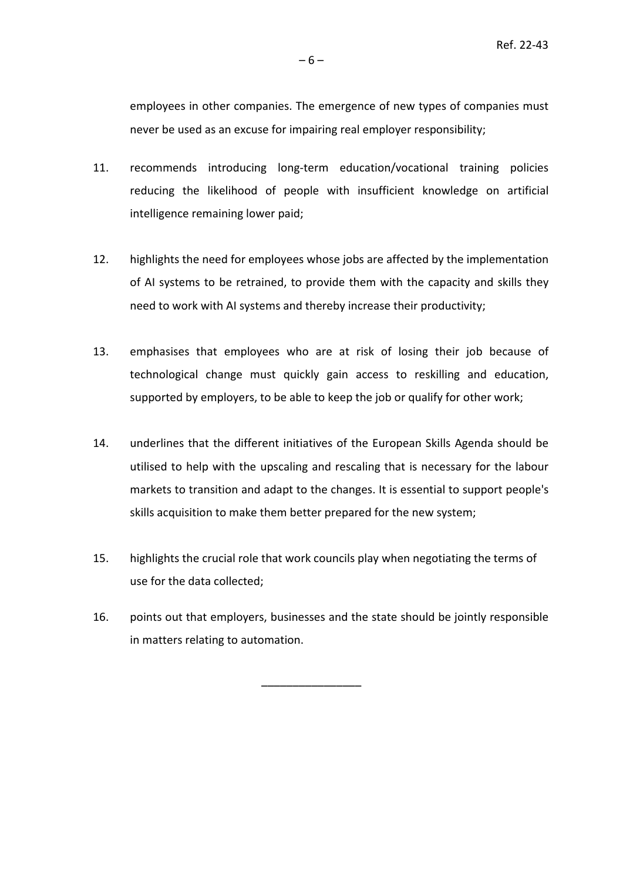employees in other companies. The emergence of new types of companies must never be used as an excuse for impairing real employer responsibility;

- 11. recommends introducing long-term education/vocational training policies reducing the likelihood of people with insufficient knowledge on artificial intelligence remaining lower paid;
- 12. highlights the need for employees whose jobs are affected by the implementation of AI systems to be retrained, to provide them with the capacity and skills they need to work with AI systems and thereby increase their productivity;
- 13. emphasises that employees who are at risk of losing their job because of technological change must quickly gain access to reskilling and education, supported by employers, to be able to keep the job or qualify for other work;
- 14. underlines that the different initiatives of the European Skills Agenda should be utilised to help with the upscaling and rescaling that is necessary for the labour markets to transition and adapt to the changes. It is essential to support people's skills acquisition to make them better prepared for the new system;
- 15. highlights the crucial role that work councils play when negotiating the terms of use for the data collected;
- 16. points out that employers, businesses and the state should be jointly responsible in matters relating to automation.

––––––––––––––––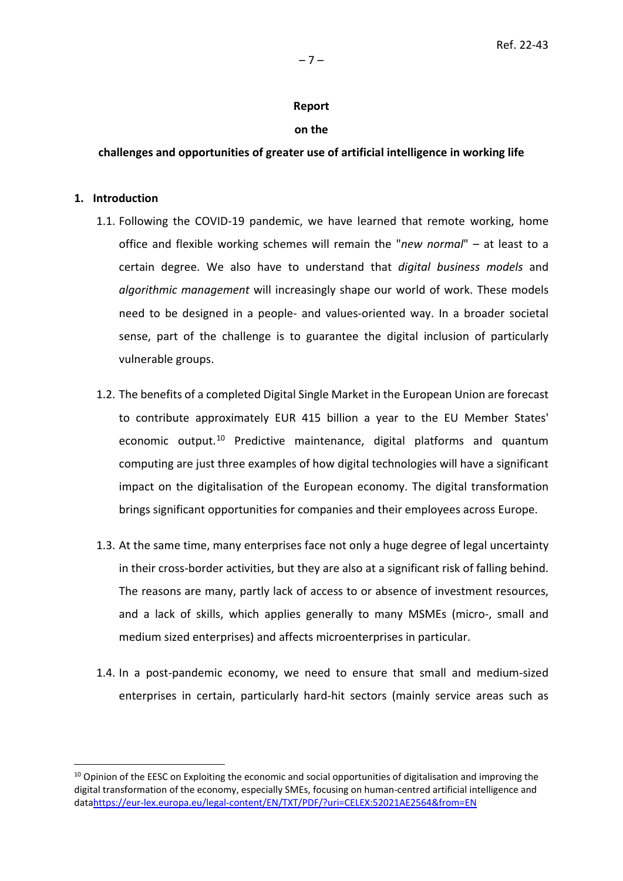#### **Report**

#### **on the**

#### **challenges and opportunities of greater use of artificial intelligence in working life**

#### **1. Introduction**

- 1.1. Following the COVID-19 pandemic, we have learned that remote working, home office and flexible working schemes will remain the "*new normal*" – at least to a certain degree. We also have to understand that *digital business models* and *algorithmic management* will increasingly shape our world of work. These models need to be designed in a people- and values-oriented way. In a broader societal sense, part of the challenge is to guarantee the digital inclusion of particularly vulnerable groups.
- 1.2. The benefits of a completed Digital Single Market in the European Union are forecast to contribute approximately EUR 415 billion a year to the EU Member States' economic output.<sup>[10](#page-6-0)</sup> Predictive maintenance, digital platforms and quantum computing are just three examples of how digital technologies will have a significant impact on the digitalisation of the European economy. The digital transformation brings significant opportunities for companies and their employees across Europe.
- 1.3. At the same time, many enterprises face not only a huge degree of legal uncertainty in their cross-border activities, but they are also at a significant risk of falling behind. The reasons are many, partly lack of access to or absence of investment resources, and a lack of skills, which applies generally to many MSMEs (micro-, small and medium sized enterprises) and affects microenterprises in particular.
- 1.4. In a post-pandemic economy, we need to ensure that small and medium-sized enterprises in certain, particularly hard-hit sectors (mainly service areas such as

<span id="page-6-0"></span><sup>&</sup>lt;sup>10</sup> Opinion of the EESC on Exploiting the economic and social opportunities of digitalisation and improving the digital transformation of the economy, especially SMEs, focusing on human-centred artificial intelligence and dat[ahttps://eur-lex.europa.eu/legal-content/EN/TXT/PDF/?uri=CELEX:52021AE2564&from=EN](https://eur-lex.europa.eu/legal-content/EN/TXT/PDF/?uri=CELEX:52021AE2564&from=EN)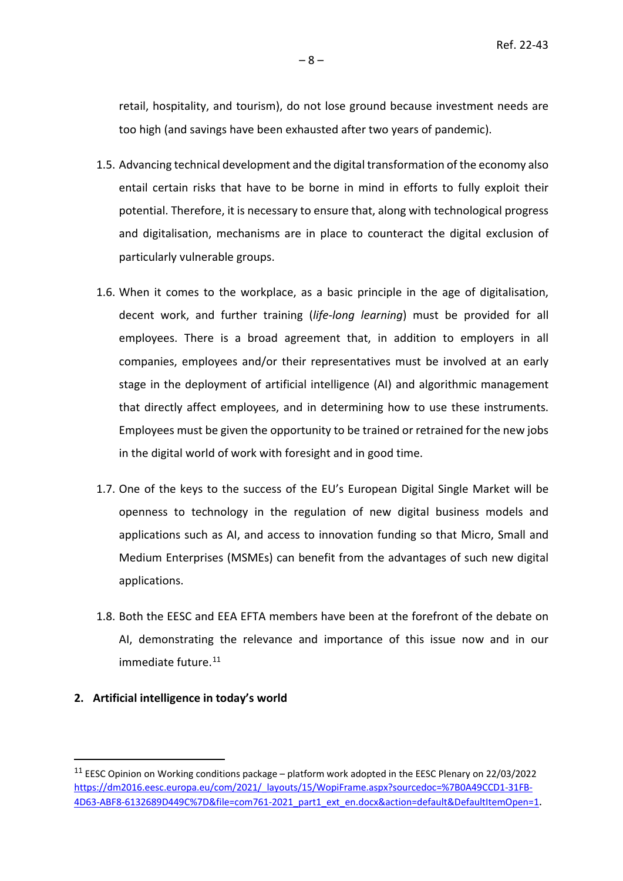retail, hospitality, and tourism), do not lose ground because investment needs are too high (and savings have been exhausted after two years of pandemic).

- 1.5. Advancing technical development and the digital transformation of the economy also entail certain risks that have to be borne in mind in efforts to fully exploit their potential. Therefore, it is necessary to ensure that, along with technological progress and digitalisation, mechanisms are in place to counteract the digital exclusion of particularly vulnerable groups.
- 1.6. When it comes to the workplace, as a basic principle in the age of digitalisation, decent work, and further training (*life-long learning*) must be provided for all employees. There is a broad agreement that, in addition to employers in all companies, employees and/or their representatives must be involved at an early stage in the deployment of artificial intelligence (AI) and algorithmic management that directly affect employees, and in determining how to use these instruments. Employees must be given the opportunity to be trained or retrained for the new jobs in the digital world of work with foresight and in good time.
- 1.7. One of the keys to the success of the EU's European Digital Single Market will be openness to technology in the regulation of new digital business models and applications such as AI, and access to innovation funding so that Micro, Small and Medium Enterprises (MSMEs) can benefit from the advantages of such new digital applications.
- 1.8. Both the EESC and EEA EFTA members have been at the forefront of the debate on AI, demonstrating the relevance and importance of this issue now and in our immediate future.<sup>[11](#page-7-0)</sup>

#### **2. Artificial intelligence in today's world**

<span id="page-7-0"></span><sup>&</sup>lt;sup>11</sup> EESC Opinion on Working conditions package – platform work adopted in the EESC Plenary on 22/03/2022 [https://dm2016.eesc.europa.eu/com/2021/\\_layouts/15/WopiFrame.aspx?sourcedoc=%7B0A49CCD1-31FB-](https://dm2016.eesc.europa.eu/com/2021/_layouts/15/WopiFrame.aspx?sourcedoc=%7B0A49CCD1-31FB-4D63-ABF8-6132689D449C%7D&file=com761-2021_part1_ext_en.docx&action=default&DefaultItemOpen=1)[4D63-ABF8-6132689D449C%7D&file=com761-2021\\_part1\\_ext\\_en.docx&action=default&DefaultItemOpen=1.](https://dm2016.eesc.europa.eu/com/2021/_layouts/15/WopiFrame.aspx?sourcedoc=%7B0A49CCD1-31FB-4D63-ABF8-6132689D449C%7D&file=com761-2021_part1_ext_en.docx&action=default&DefaultItemOpen=1)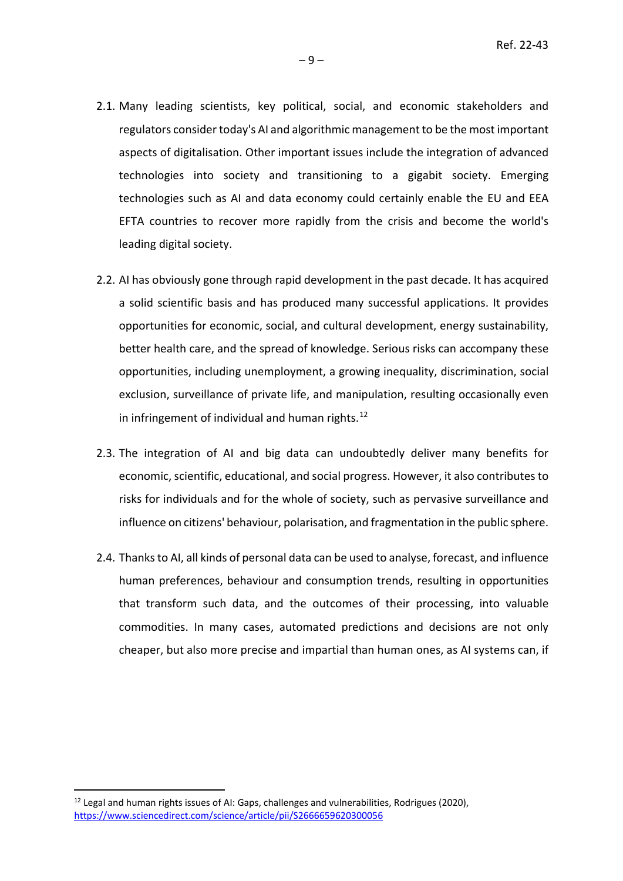- 2.1. Many leading scientists, key political, social, and economic stakeholders and regulators consider today's AI and algorithmic management to be the most important aspects of digitalisation. Other important issues include the integration of advanced technologies into society and transitioning to a gigabit society. Emerging technologies such as AI and data economy could certainly enable the EU and EEA EFTA countries to recover more rapidly from the crisis and become the world's leading digital society.
- 2.2. AI has obviously gone through rapid development in the past decade. It has acquired a solid scientific basis and has produced many successful applications. It provides opportunities for economic, social, and cultural development, energy sustainability, better health care, and the spread of knowledge. Serious risks can accompany these opportunities, including unemployment, a growing inequality, discrimination, social exclusion, surveillance of private life, and manipulation, resulting occasionally even in infringement of individual and human rights.<sup>[12](#page-8-0)</sup>
- 2.3. The integration of AI and big data can undoubtedly deliver many benefits for economic, scientific, educational, and social progress. However, it also contributes to risks for individuals and for the whole of society, such as pervasive surveillance and influence on citizens' behaviour, polarisation, and fragmentation in the public sphere.
- 2.4. Thanks to AI, all kinds of personal data can be used to analyse, forecast, and influence human preferences, behaviour and consumption trends, resulting in opportunities that transform such data, and the outcomes of their processing, into valuable commodities. In many cases, automated predictions and decisions are not only cheaper, but also more precise and impartial than human ones, as AI systems can, if

<span id="page-8-0"></span> $12$  Legal and human rights issues of AI: Gaps, challenges and vulnerabilities, Rodrigues (2020), <https://www.sciencedirect.com/science/article/pii/S2666659620300056>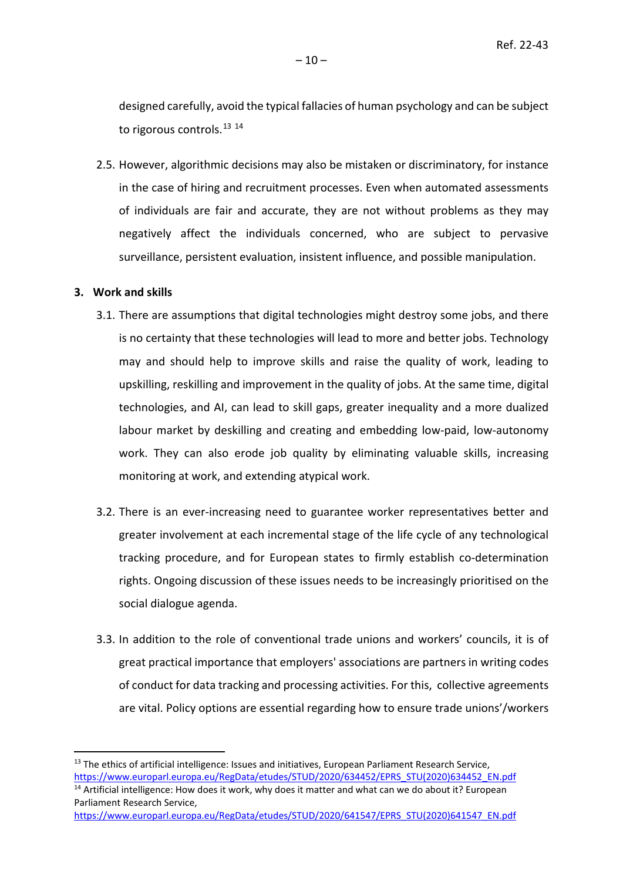designed carefully, avoid the typical fallacies of human psychology and can be subject to rigorous controls.<sup>[13](#page-9-0) [14](#page-9-1)</sup>

2.5. However, algorithmic decisions may also be mistaken or discriminatory, for instance in the case of hiring and recruitment processes. Even when automated assessments of individuals are fair and accurate, they are not without problems as they may negatively affect the individuals concerned, who are subject to pervasive surveillance, persistent evaluation, insistent influence, and possible manipulation.

#### **3. Work and skills**

- 3.1. There are assumptions that digital technologies might destroy some jobs, and there is no certainty that these technologies will lead to more and better jobs. Technology may and should help to improve skills and raise the quality of work, leading to upskilling, reskilling and improvement in the quality of jobs. At the same time, digital technologies, and AI, can lead to skill gaps, greater inequality and a more dualized labour market by deskilling and creating and embedding low-paid, low-autonomy work. They can also erode job quality by eliminating valuable skills, increasing monitoring at work, and extending atypical work.
- 3.2. There is an ever-increasing need to guarantee worker representatives better and greater involvement at each incremental stage of the life cycle of any technological tracking procedure, and for European states to firmly establish co-determination rights. Ongoing discussion of these issues needs to be increasingly prioritised on the social dialogue agenda.
- 3.3. In addition to the role of conventional trade unions and workers' councils, it is of great practical importance that employers' associations are partners in writing codes of conduct for data tracking and processing activities. For this, collective agreements are vital. Policy options are essential regarding how to ensure trade unions'/workers

<span id="page-9-0"></span><sup>&</sup>lt;sup>13</sup> The ethics of artificial intelligence: Issues and initiatives, European Parliament Research Service, [https://www.europarl.europa.eu/RegData/etudes/STUD/2020/634452/EPRS\\_STU\(2020\)634452\\_EN.pdf](https://www.europarl.europa.eu/RegData/etudes/STUD/2020/634452/EPRS_STU(2020)634452_EN.pdf)

<span id="page-9-1"></span><sup>&</sup>lt;sup>14</sup> Artificial intelligence: How does it work, why does it matter and what can we do about it? European Parliament Research Service,

[https://www.europarl.europa.eu/RegData/etudes/STUD/2020/641547/EPRS\\_STU\(2020\)641547\\_EN.pdf](https://www.europarl.europa.eu/RegData/etudes/STUD/2020/641547/EPRS_STU(2020)641547_EN.pdf)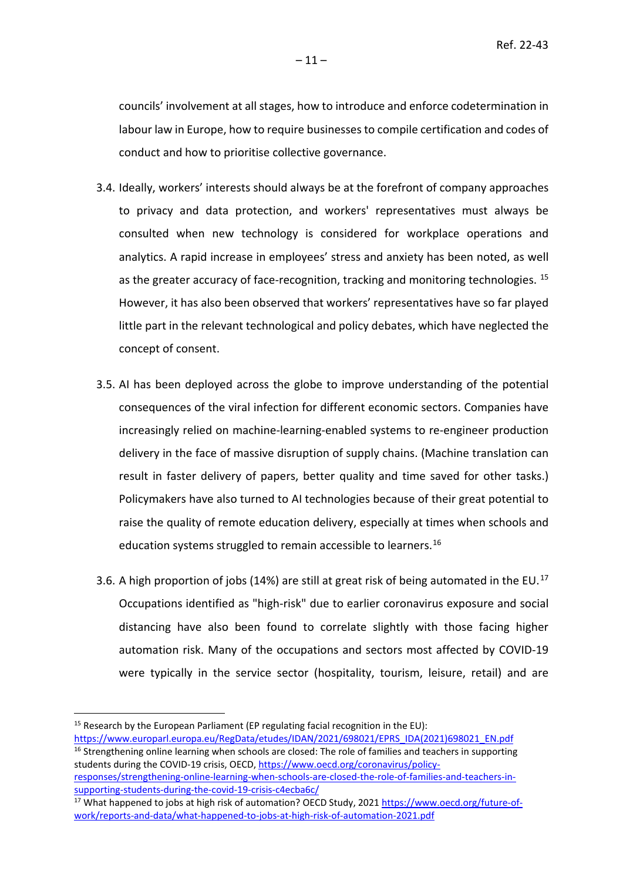councils' involvement at all stages, how to introduce and enforce codetermination in labour law in Europe, how to require businesses to compile certification and codes of conduct and how to prioritise collective governance.

- 3.4. Ideally, workers' interests should always be at the forefront of company approaches to privacy and data protection, and workers' representatives must always be consulted when new technology is considered for workplace operations and analytics. A rapid increase in employees' stress and anxiety has been noted, as well as the greater accuracy of face-recognition, tracking and monitoring technologies. <sup>[15](#page-10-0)</sup> However, it has also been observed that workers' representatives have so far played little part in the relevant technological and policy debates, which have neglected the concept of consent.
- 3.5. AI has been deployed across the globe to improve understanding of the potential consequences of the viral infection for different economic sectors. Companies have increasingly relied on machine-learning-enabled systems to re-engineer production delivery in the face of massive disruption of supply chains. (Machine translation can result in faster delivery of papers, better quality and time saved for other tasks.) Policymakers have also turned to AI technologies because of their great potential to raise the quality of remote education delivery, especially at times when schools and education systems struggled to remain accessible to learners.<sup>[16](#page-10-1)</sup>
- 3.6. A high proportion of jobs (14%) are still at great risk of being automated in the EU.<sup>[17](#page-10-2)</sup> Occupations identified as "high-risk" due to earlier coronavirus exposure and social distancing have also been found to correlate slightly with those facing higher automation risk. Many of the occupations and sectors most affected by COVID-19 were typically in the service sector (hospitality, tourism, leisure, retail) and are

<span id="page-10-0"></span><sup>&</sup>lt;sup>15</sup> Research by the European Parliament (EP regulating facial recognition in the EU):

<span id="page-10-1"></span>[https://www.europarl.europa.eu/RegData/etudes/IDAN/2021/698021/EPRS\\_IDA\(2021\)698021\\_EN.pdf](https://www.europarl.europa.eu/RegData/etudes/IDAN/2021/698021/EPRS_IDA(2021)698021_EN.pdf)  $16$  Strengthening online learning when schools are closed: The role of families and teachers in supporting students during the COVID-19 crisis, OECD, [https://www.oecd.org/coronavirus/policy-](https://www.oecd.org/coronavirus/policy-responses/strengthening-online-learning-when-schools-are-closed-the-role-of-families-and-teachers-in-supporting-students-during-the-covid-19-crisis-c4ecba6c/)

[responses/strengthening-online-learning-when-schools-are-closed-the-role-of-families-and-teachers-in](https://www.oecd.org/coronavirus/policy-responses/strengthening-online-learning-when-schools-are-closed-the-role-of-families-and-teachers-in-supporting-students-during-the-covid-19-crisis-c4ecba6c/)[supporting-students-during-the-covid-19-crisis-c4ecba6c/](https://www.oecd.org/coronavirus/policy-responses/strengthening-online-learning-when-schools-are-closed-the-role-of-families-and-teachers-in-supporting-students-during-the-covid-19-crisis-c4ecba6c/)

<span id="page-10-2"></span><sup>17</sup> What happened to jobs at high risk of automation? OECD Study, 2021 [https://www.oecd.org/future-of](https://www.oecd.org/future-of-work/reports-and-data/what-happened-to-jobs-at-high-risk-of-automation-2021.pdf)[work/reports-and-data/what-happened-to-jobs-at-high-risk-of-automation-2021.pdf](https://www.oecd.org/future-of-work/reports-and-data/what-happened-to-jobs-at-high-risk-of-automation-2021.pdf)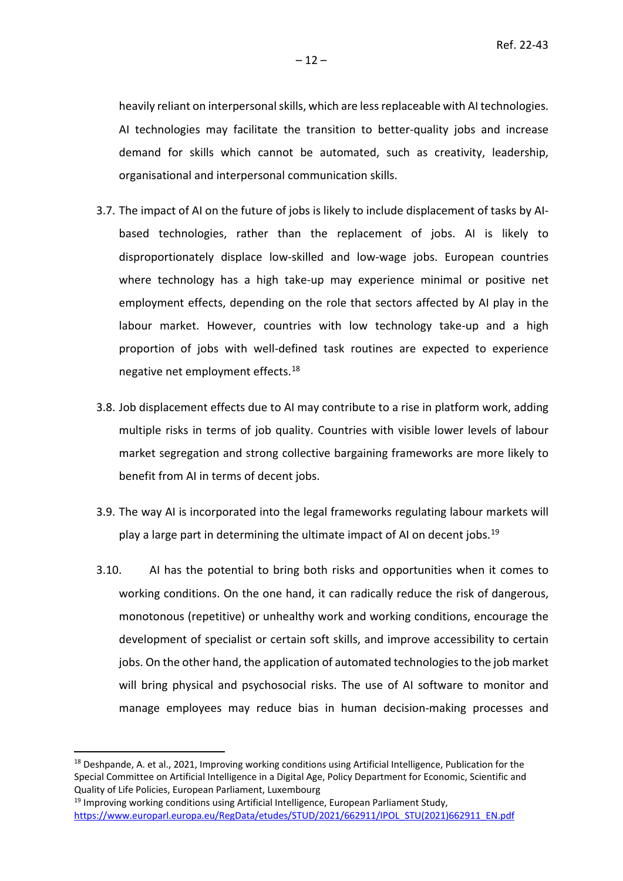heavily reliant on interpersonal skills, which are less replaceable with AI technologies. AI technologies may facilitate the transition to better-quality jobs and increase demand for skills which cannot be automated, such as creativity, leadership, organisational and interpersonal communication skills.

- 3.7. The impact of AI on the future of jobs is likely to include displacement of tasks by AIbased technologies, rather than the replacement of jobs. AI is likely to disproportionately displace low-skilled and low-wage jobs. European countries where technology has a high take-up may experience minimal or positive net employment effects, depending on the role that sectors affected by AI play in the labour market. However, countries with low technology take-up and a high proportion of jobs with well-defined task routines are expected to experience negative net employment effects.[18](#page-11-0)
- 3.8. Job displacement effects due to AI may contribute to a rise in platform work, adding multiple risks in terms of job quality. Countries with visible lower levels of labour market segregation and strong collective bargaining frameworks are more likely to benefit from AI in terms of decent jobs.
- 3.9. The way AI is incorporated into the legal frameworks regulating labour markets will play a large part in determining the ultimate impact of AI on decent jobs.<sup>[19](#page-11-1)</sup>
- 3.10. AI has the potential to bring both risks and opportunities when it comes to working conditions. On the one hand, it can radically reduce the risk of dangerous, monotonous (repetitive) or unhealthy work and working conditions, encourage the development of specialist or certain soft skills, and improve accessibility to certain jobs. On the other hand, the application of automated technologies to the job market will bring physical and psychosocial risks. The use of AI software to monitor and manage employees may reduce bias in human decision-making processes and

<span id="page-11-1"></span><sup>19</sup> Improving working conditions using Artificial Intelligence, European Parliament Study, [https://www.europarl.europa.eu/RegData/etudes/STUD/2021/662911/IPOL\\_STU\(2021\)662911\\_EN.pdf](https://www.europarl.europa.eu/RegData/etudes/STUD/2021/662911/IPOL_STU(2021)662911_EN.pdf)

<span id="page-11-0"></span><sup>&</sup>lt;sup>18</sup> Deshpande, A. et al., 2021, Improving working conditions using Artificial Intelligence, Publication for the Special Committee on Artificial Intelligence in a Digital Age, Policy Department for Economic, Scientific and Quality of Life Policies, European Parliament, Luxembourg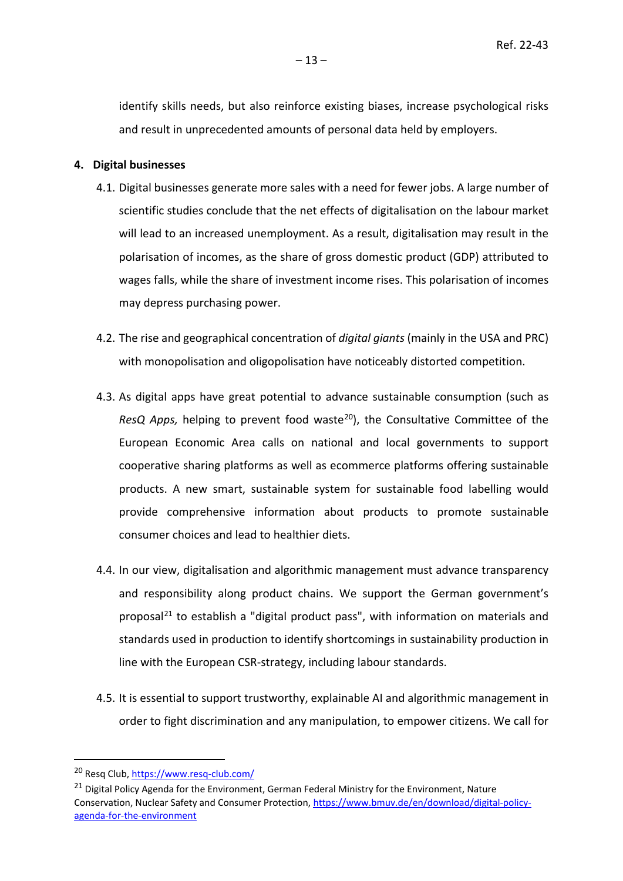identify skills needs, but also reinforce existing biases, increase psychological risks and result in unprecedented amounts of personal data held by employers.

#### **4. Digital businesses**

- 4.1. Digital businesses generate more sales with a need for fewer jobs. A large number of scientific studies conclude that the net effects of digitalisation on the labour market will lead to an increased unemployment. As a result, digitalisation may result in the polarisation of incomes, as the share of gross domestic product (GDP) attributed to wages falls, while the share of investment income rises. This polarisation of incomes may depress purchasing power.
- 4.2. The rise and geographical concentration of *digital giants* (mainly in the USA and PRC) with monopolisation and oligopolisation have noticeably distorted competition.
- 4.3. As digital apps have great potential to advance sustainable consumption (such as *ResQ Apps,* helping to prevent food waste<sup>[20](#page-12-0)</sup>), the Consultative Committee of the European Economic Area calls on national and local governments to support cooperative sharing platforms as well as ecommerce platforms offering sustainable products. A new smart, sustainable system for sustainable food labelling would provide comprehensive information about products to promote sustainable consumer choices and lead to healthier diets.
- 4.4. In our view, digitalisation and algorithmic management must advance transparency and responsibility along product chains. We support the German government's proposal<sup>[21](#page-12-1)</sup> to establish a "digital product pass", with information on materials and standards used in production to identify shortcomings in sustainability production in line with the European CSR-strategy, including labour standards.
- 4.5. It is essential to support trustworthy, explainable AI and algorithmic management in order to fight discrimination and any manipulation, to empower citizens. We call for

<span id="page-12-0"></span><sup>20</sup> Resq Club,<https://www.resq-club.com/>

<span id="page-12-1"></span><sup>&</sup>lt;sup>21</sup> Digital Policy Agenda for the Environment, German Federal Ministry for the Environment, Nature Conservation, Nuclear Safety and Consumer Protection, [https://www.bmuv.de/en/download/digital-policy](https://www.bmuv.de/en/download/digital-policy-agenda-for-the-environment)[agenda-for-the-environment](https://www.bmuv.de/en/download/digital-policy-agenda-for-the-environment)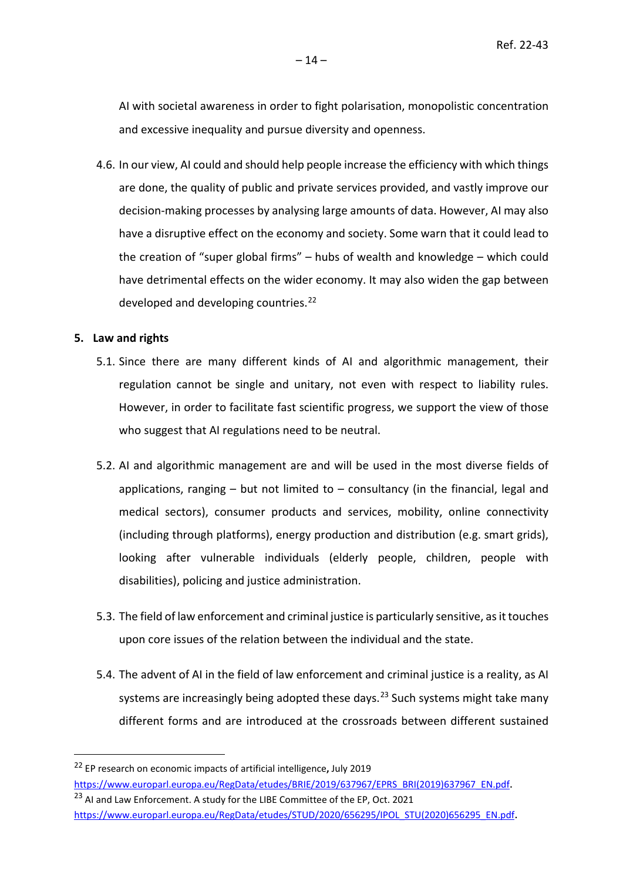AI with societal awareness in order to fight polarisation, monopolistic concentration and excessive inequality and pursue diversity and openness.

4.6. In our view, AI could and should help people increase the efficiency with which things are done, the quality of public and private services provided, and vastly improve our decision-making processes by analysing large amounts of data. However, AI may also have a disruptive effect on the economy and society. Some warn that it could lead to the creation of "super global firms" – hubs of wealth and knowledge – which could have detrimental effects on the wider economy. It may also widen the gap between developed and developing countries.<sup>[22](#page-13-0)</sup>

#### **5. Law and rights**

- 5.1. Since there are many different kinds of AI and algorithmic management, their regulation cannot be single and unitary, not even with respect to liability rules. However, in order to facilitate fast scientific progress, we support the view of those who suggest that AI regulations need to be neutral.
- 5.2. AI and algorithmic management are and will be used in the most diverse fields of applications, ranging  $-$  but not limited to  $-$  consultancy (in the financial, legal and medical sectors), consumer products and services, mobility, online connectivity (including through platforms), energy production and distribution (e.g. smart grids), looking after vulnerable individuals (elderly people, children, people with disabilities), policing and justice administration.
- 5.3. The field of law enforcement and criminal justice is particularly sensitive, as it touches upon core issues of the relation between the individual and the state.
- 5.4. The advent of AI in the field of law enforcement and criminal justice is a reality, as AI systems are increasingly being adopted these days.<sup>[23](#page-13-1)</sup> Such systems might take many different forms and are introduced at the crossroads between different sustained

<span id="page-13-0"></span><sup>22</sup> EP research on economic impacts of artificial intelligence**,** July 2019 [https://www.europarl.europa.eu/RegData/etudes/BRIE/2019/637967/EPRS\\_BRI\(2019\)637967\\_EN.pdf.](https://www.europarl.europa.eu/RegData/etudes/BRIE/2019/637967/EPRS_BRI(2019)637967_EN.pdf)

<span id="page-13-1"></span><sup>&</sup>lt;sup>23</sup> AI and Law Enforcement. A study for the LIBE Committee of the EP, Oct. 2021 [https://www.europarl.europa.eu/RegData/etudes/STUD/2020/656295/IPOL\\_STU\(2020\)656295\\_EN.pdf.](https://www.europarl.europa.eu/RegData/etudes/STUD/2020/656295/IPOL_STU(2020)656295_EN.pdf)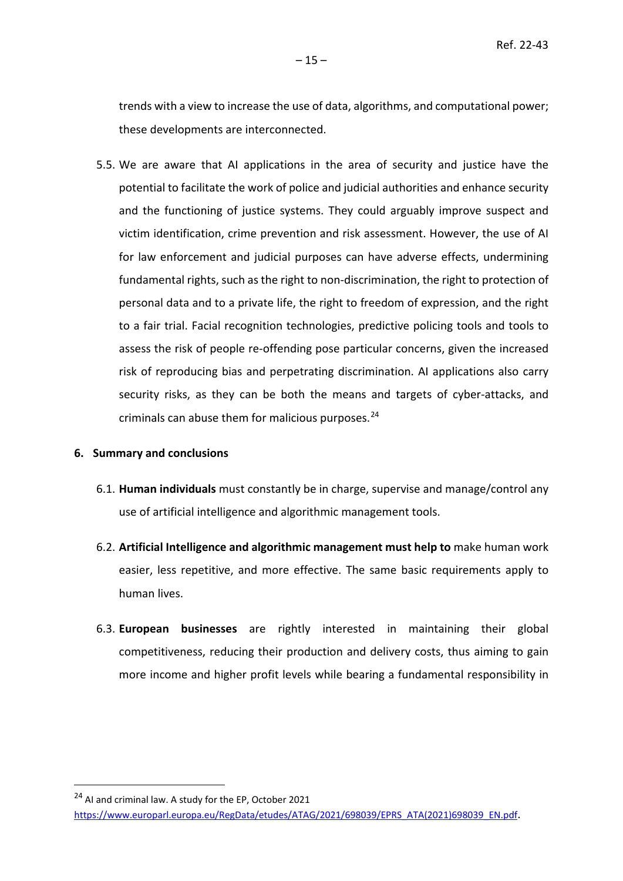trends with a view to increase the use of data, algorithms, and computational power; these developments are interconnected.

5.5. We are aware that AI applications in the area of security and justice have the potential to facilitate the work of police and judicial authorities and enhance security and the functioning of justice systems. They could arguably improve suspect and victim identification, crime prevention and risk assessment. However, the use of AI for law enforcement and judicial purposes can have adverse effects, undermining fundamental rights, such as the right to non-discrimination, the right to protection of personal data and to a private life, the right to freedom of expression, and the right to a fair trial. Facial recognition technologies, predictive policing tools and tools to assess the risk of people re-offending pose particular concerns, given the increased risk of reproducing bias and perpetrating discrimination. AI applications also carry security risks, as they can be both the means and targets of cyber-attacks, and criminals can abuse them for malicious purposes. [24](#page-14-0)

#### **6. Summary and conclusions**

- 6.1. **Human individuals** must constantly be in charge, supervise and manage/control any use of artificial intelligence and algorithmic management tools.
- 6.2. **Artificial Intelligence and algorithmic management must help to** make human work easier, less repetitive, and more effective. The same basic requirements apply to human lives.
- 6.3. **European businesses** are rightly interested in maintaining their global competitiveness, reducing their production and delivery costs, thus aiming to gain more income and higher profit levels while bearing a fundamental responsibility in

<span id="page-14-0"></span><sup>&</sup>lt;sup>24</sup> AI and criminal law. A study for the EP, October 2021

[https://www.europarl.europa.eu/RegData/etudes/ATAG/2021/698039/EPRS\\_ATA\(2021\)698039\\_EN.pdf.](https://www.europarl.europa.eu/RegData/etudes/ATAG/2021/698039/EPRS_ATA(2021)698039_EN.pdf)